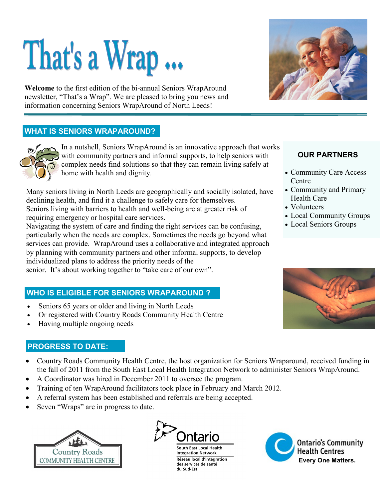# That's a Wrap ...

**Welcome** to the first edition of the bi-annual Seniors WrapAround newsletter, "That's a Wrap". We are pleased to bring you news and information concerning Seniors WrapAround of North Leeds!

## **WHAT IS SENIORS WRAPAROUND?**



In a nutshell, Seniors WrapAround is an innovative approach that works with community partners and informal supports, to help seniors with complex needs find solutions so that they can remain living safely at home with health and dignity.

Many seniors living in North Leeds are geographically and socially isolated, have declining health, and find it a challenge to safely care for themselves. Seniors living with barriers to health and well-being are at greater risk of requiring emergency or hospital care services.

Navigating the system of care and finding the right services can be confusing, particularly when the needs are complex. Sometimes the needs go beyond what services can provide. WrapAround uses a collaborative and integrated approach by planning with community partners and other informal supports, to develop individualized plans to address the priority needs of the senior. It's about working together to "take care of our own".

### **WHO IS ELIGIBLE FOR SENIORS WRAPAROUND ?**

- Seniors 65 years or older and living in North Leeds
- Or registered with Country Roads Community Health Centre
- Having multiple ongoing needs

### **PROGRESS TO DATE:**

- Country Roads Community Health Centre, the host organization for Seniors Wraparound, received funding in the fall of 2011 from the South East Local Health Integration Network to administer Seniors WrapAround.
- A Coordinator was hired in December 2011 to oversee the program.
- Training of ten WrapAround facilitators took place in February and March 2012.
- A referral system has been established and referrals are being accepted.
- Seven "Wraps" are in progress to date.





**South East Local Health Integration Network** Réseau local d'intégration des services de santé du Sud-Est



### **OUR PARTNERS**

- Community Care Access Centre
- Community and Primary Health Care
- Volunteers
- Local Community Groups
- Local Seniors Groups